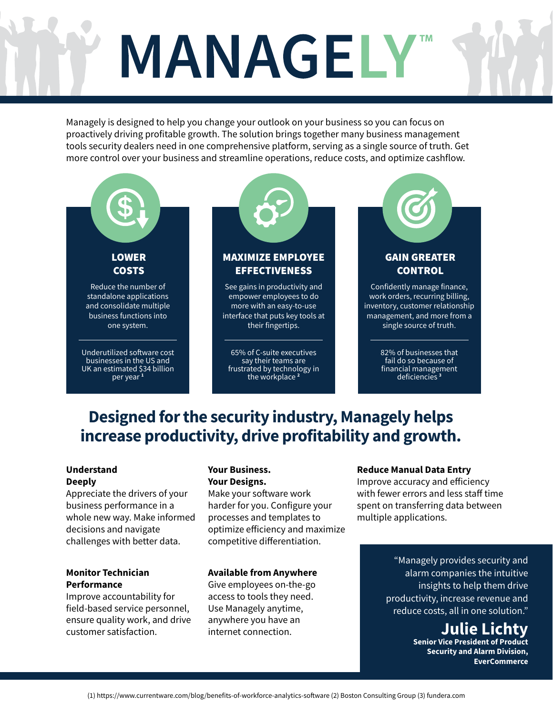# MANAGELY

Managely is designed to help you change your outlook on your business so you can focus on proactively driving profitable growth. The solution brings together many business management tools security dealers need in one comprehensive platform, serving as a single source of truth. Get more control over your business and streamline operations, reduce costs, and optimize cashflow.



# **Designed for the security industry, Managely helps increase productivity, drive profitability and growth.**

#### **Understand Deeply**

Appreciate the drivers of your business performance in a whole new way. Make informed decisions and navigate challenges with better data.

#### **Monitor Technician Performance**

Improve accountability for field-based service personnel, ensure quality work, and drive customer satisfaction.

#### **Your Business. Your Designs.**

Make your software work harder for you. Configure your processes and templates to optimize efficiency and maximize competitive differentiation.

#### **Available from Anywhere**

Give employees on-the-go access to tools they need. Use Managely anytime, anywhere you have an internet connection.

#### **Reduce Manual Data Entry**

Improve accuracy and efficiency with fewer errors and less staff time spent on transferring data between multiple applications.

> "Managely provides security and alarm companies the intuitive insights to help them drive productivity, increase revenue and reduce costs, all in one solution."

> > **Julie Lichty Senior Vice President of Product Security and Alarm Division, EverCommerce**